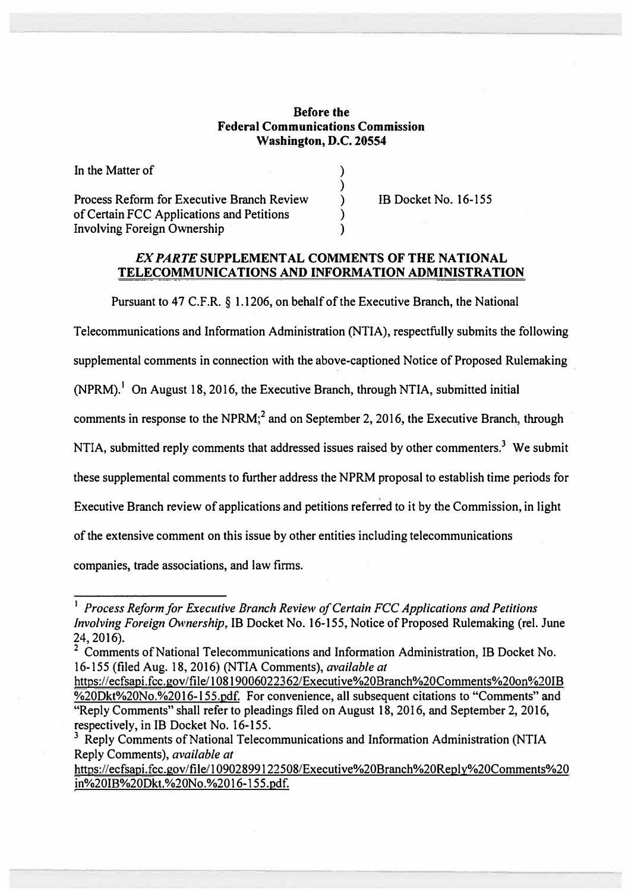## **Before the Federal Communications Commission Washington, D.C. 20554**

**) ) ) ) )** 

Process Reform for Executive Branch Review of Certain FCC Applications and Petitions Involving Foreign Ownership

In the Matter of

18 Docket No. 16-155

## *EX PARTE* **SUPPLEMENT AL COMMENTS OF THE NATIONAL TELECOMMUNICATIONS AND INFORMATION ADMINISTRATION**

Pursuant to 47 C.F.R. § 1.1206, on behalf of the Executive Branch, the National

Telecommunications and Information Administration (NTIA), respectfully submits the following

supplemental comments in connection with the above-captioned Notice of Proposed Rulemaking

 $(NPRM)$ .<sup>1</sup> On August 18, 2016, the Executive Branch, through NTIA, submitted initial

comments in response to the NPRM;**<sup>2</sup>**and on September 2, 2016, the Executive Branch, through

NTIA, submitted reply comments that addressed issues raised by other commenters.<sup>3</sup> We submit

these supplemental comments to further address the NPRM proposal to establish time periods for

Executive Branch review of applications and petitions referred to it by the Commission, in light

of the extensive comment on this issue by other entities including telecommunications

companies, trade associations, and Jaw firms.

https://ecfsapi.fcc.gov/file/10902899122508/Executive%20Branch%20Reply%20Comments%20 in%20IB%20Dkt.%20No.%2016-l55.pdf.

<sup>&</sup>lt;sup>1</sup> Process Reform for Executive Branch Review of Certain FCC Applications and Petitions *Involving Foreign Ownership,* 1B Docket No. 16-155, Notice of Proposed Rulemaking (rel. June 24, 2016).

<sup>&</sup>lt;sup>2</sup> Comments of National Telecommunications and Information Administration, IB Docket No. 16-155 (filed Aug. 18, 2016) (NTIA Comments), *available at*

https://ecfsapi.fcc.gov/file/10819006022362/Executive%20Branch%20Comments%20on%20IB %20Dkt%20No.%2016-l 55.pdf. For convenience, all subsequent citations to "Comments" and "Reply Comments" shall refer to pleadings filed on August 18, 2016, and September 2, 2016, respectively, in 1B Docket No. 16-155.

<sup>&</sup>lt;sup>3</sup> Reply Comments of National Telecommunications and Information Administration (NTIA Reply Comments), *available at*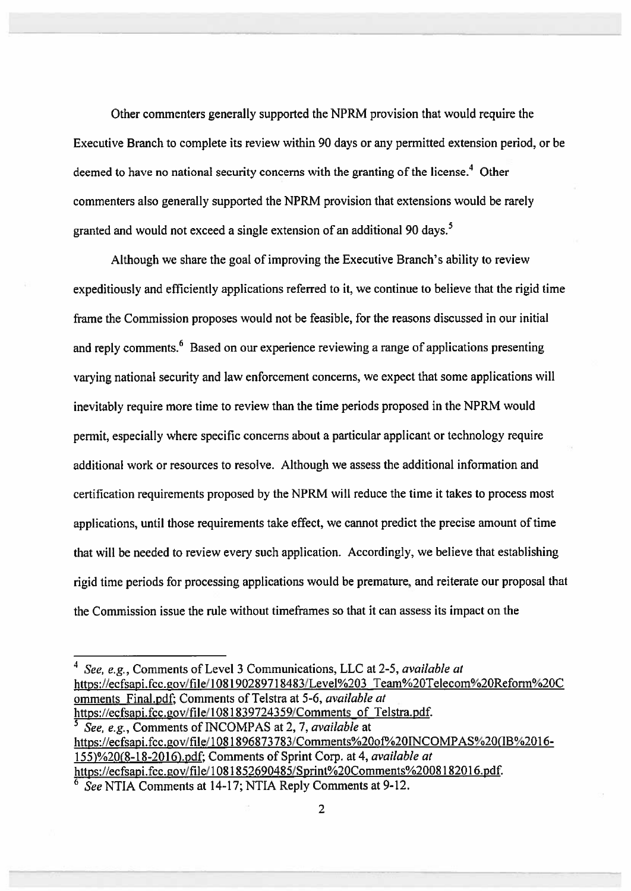Other commenters generally supported the NPRM provision that would require the Executive Branch to complete its review within 90 days or any permitted extension period, or be deemed to have no national security concerns with the granting of the license.<sup>4</sup> Other commenters also generally supported the NPRM provision that extensions would be rarely granted and would not exceed a single extension of an additional 90 days.<sup>5</sup>

Although we share the goal of improving the Executive Branch's ability to review expeditiously and efficiently applications referred to it, we continue to believe that the rigid time frame the Commission proposes would not be feasible, for the reasons discussed in our initial and reply comments.<sup>6</sup> Based on our experience reviewing a range of applications presenting varving national security and law enforcement concerns, we expect that some applications will inevitably require more time to review than the time periods proposed in the NPRM would permit, especially where specific concerns about a particular applicant or technology require additional work or resources to resolve. Although we assess the additional information and certification requirements proposed by the NPRM will reduce the time it takes to process most applications, until those requirements take effect, we cannot predict the precise amount of time that will be needed to review every such application. Accordingly, we believe that establishing rigid time periods for processing applications would be premature, and reiterate our proposal that the Commission issue the rule without time frames so that it can assess its impact on the

https://ecfsapi.fcc.gov/file/1081896873783/Comments%20of%20INCOMPAS%20(IB%2016-155)%20(8-18-2016).pdf; Comments of Sprint Corp. at 4, available at https://ecfsapi.fcc.gov/file/1081852690485/Sprint%20Comments%2008182016.pdf. See NTIA Comments at 14-17; NTIA Reply Comments at 9-12.

 $\overline{2}$ 

<sup>&</sup>lt;sup>4</sup> See, e.g., Comments of Level 3 Communications, LLC at 2-5, *available at* https://ecfsapi.fcc.gov/file/108190289718483/Level%203 Team%20Telecom%20Reform%20C omments Final.pdf: Comments of Telstra at 5-6, available at https://ecfsapi.fcc.gov/file/1081839724359/Comments of Telstra.pdf. See, e.g., Comments of INCOMPAS at 2, 7, available at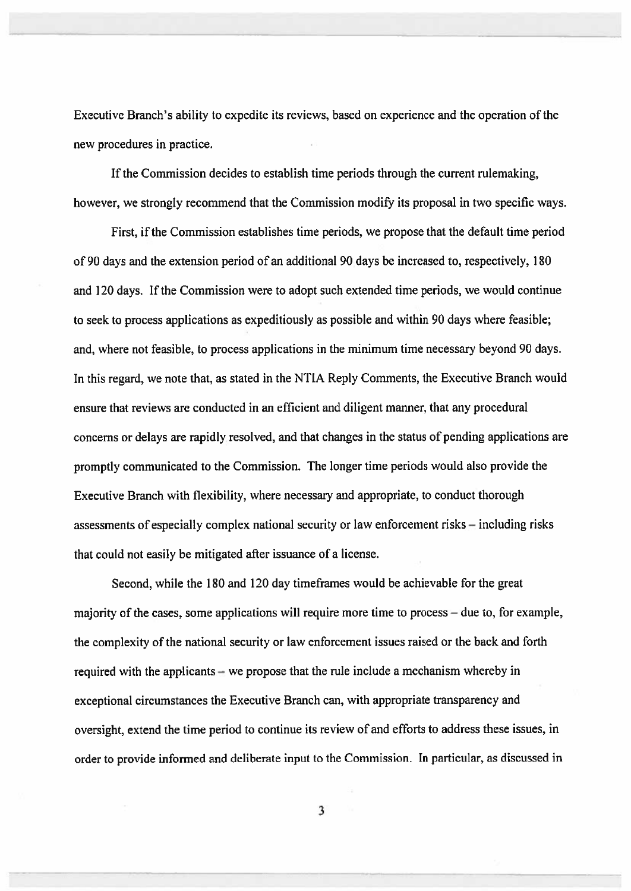Executive Branch's ability to expedite its reviews, based on experience and the operation of the new procedures in practice.

If the Commission decides to establish time periods through the current rulemaking, however, we strongly recommend that the Commission modify its proposal in two specific ways.

First, if the Commission establishes time periods, we propose that the default time period of 90 days and the extension period of an additional 90 days be increased to, respectively, 180 and 120 days. If the Commission were to adopt such extended time periods, we would continue to seek to process applications as expeditiously as possible and within 90 days where feasible; and, where not feasible, to process applications in the minimum time necessary beyond 90 days. In this regard, we note that, as stated in the NTIA Reply Comments, the Executive Branch would ensure that reviews are conducted in an efficient and diligent manner, that any procedural concerns or delays are rapidly resolved, and that changes in the status of pending applications are promptly communicated to the Commission. The longer time periods would also provide the Executive Branch with flexibility, where necessary and appropriate, to conduct thorough assessments of especially complex national security or law enforcement risks – including risks that could not easily be mitigated after issuance of a license.

Second, while the 180 and 120 day time frames would be achievable for the great majority of the cases, some applications will require more time to process – due to, for example, the complexity of the national security or law enforcement issues raised or the back and forth required with the applicants – we propose that the rule include a mechanism whereby in exceptional circumstances the Executive Branch can, with appropriate transparency and oversight, extend the time period to continue its review of and efforts to address these issues, in order to provide informed and deliberate input to the Commission. In particular, as discussed in

3